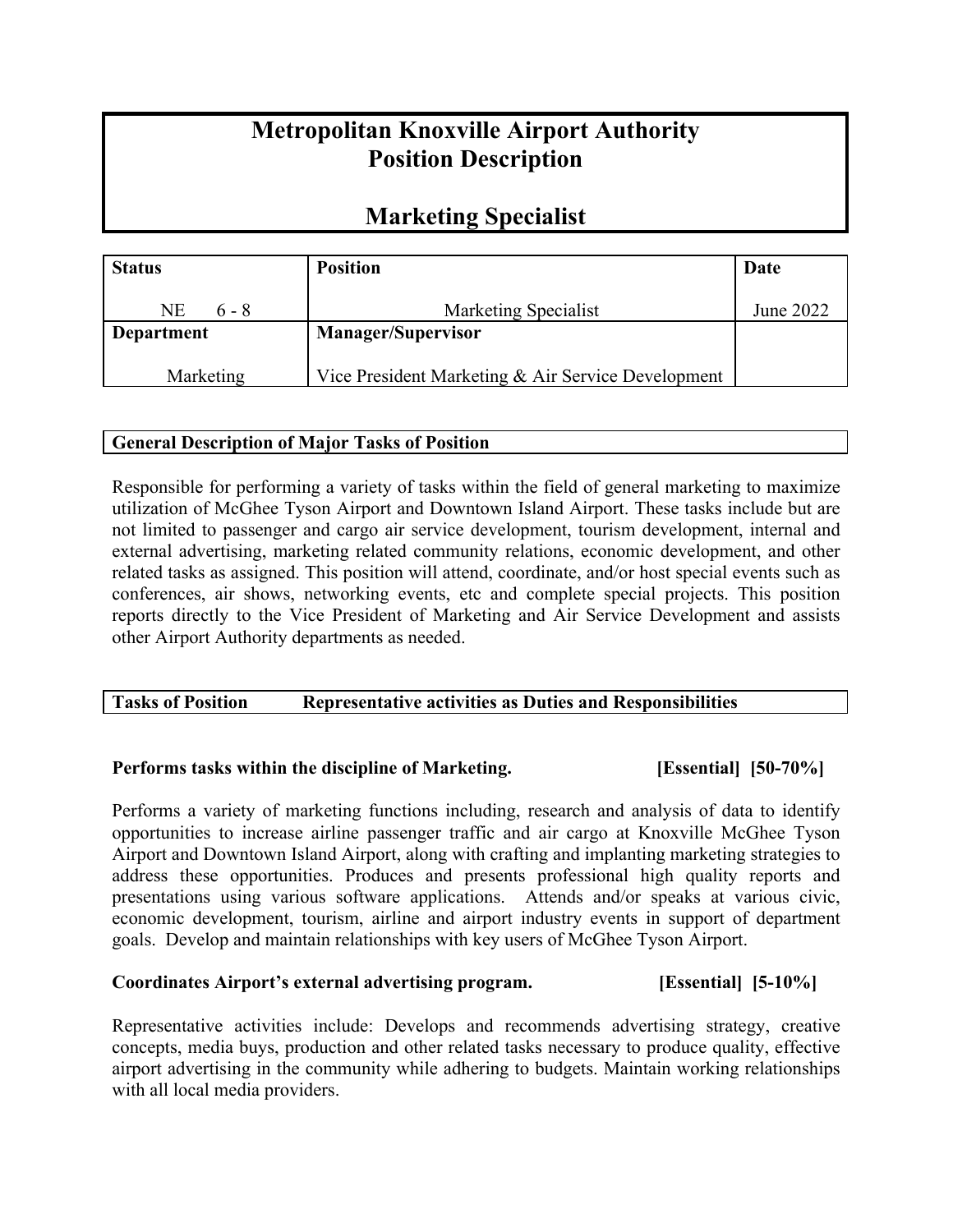# **Metropolitan Knoxville Airport Authority Position Description**

## **Marketing Specialist**

| <b>Status</b>     | <b>Position</b>                                    | Date      |
|-------------------|----------------------------------------------------|-----------|
| NE<br>$6 - 8$     | Marketing Specialist                               | June 2022 |
| <b>Department</b> | <b>Manager/Supervisor</b>                          |           |
| Marketing         | Vice President Marketing & Air Service Development |           |

## **General Description of Major Tasks of Position**

Responsible for performing a variety of tasks within the field of general marketing to maximize utilization of McGhee Tyson Airport and Downtown Island Airport. These tasks include but are not limited to passenger and cargo air service development, tourism development, internal and external advertising, marketing related community relations, economic development, and other related tasks as assigned. This position will attend, coordinate, and/or host special events such as conferences, air shows, networking events, etc and complete special projects. This position reports directly to the Vice President of Marketing and Air Service Development and assists other Airport Authority departments as needed.

## **Tasks of Position Representative activities as Duties and Responsibilities**

## **Performs tasks within the discipline of Marketing. [Essential] [50-70%]**

Performs a variety of marketing functions including, research and analysis of data to identify opportunities to increase airline passenger traffic and air cargo at Knoxville McGhee Tyson Airport and Downtown Island Airport, along with crafting and implanting marketing strategies to address these opportunities. Produces and presents professional high quality reports and presentations using various software applications. Attends and/or speaks at various civic, economic development, tourism, airline and airport industry events in support of department goals. Develop and maintain relationships with key users of McGhee Tyson Airport.

## **Coordinates Airport's external advertising program. [Essential] [5-10%]**

Representative activities include: Develops and recommends advertising strategy, creative concepts, media buys, production and other related tasks necessary to produce quality, effective airport advertising in the community while adhering to budgets. Maintain working relationships with all local media providers.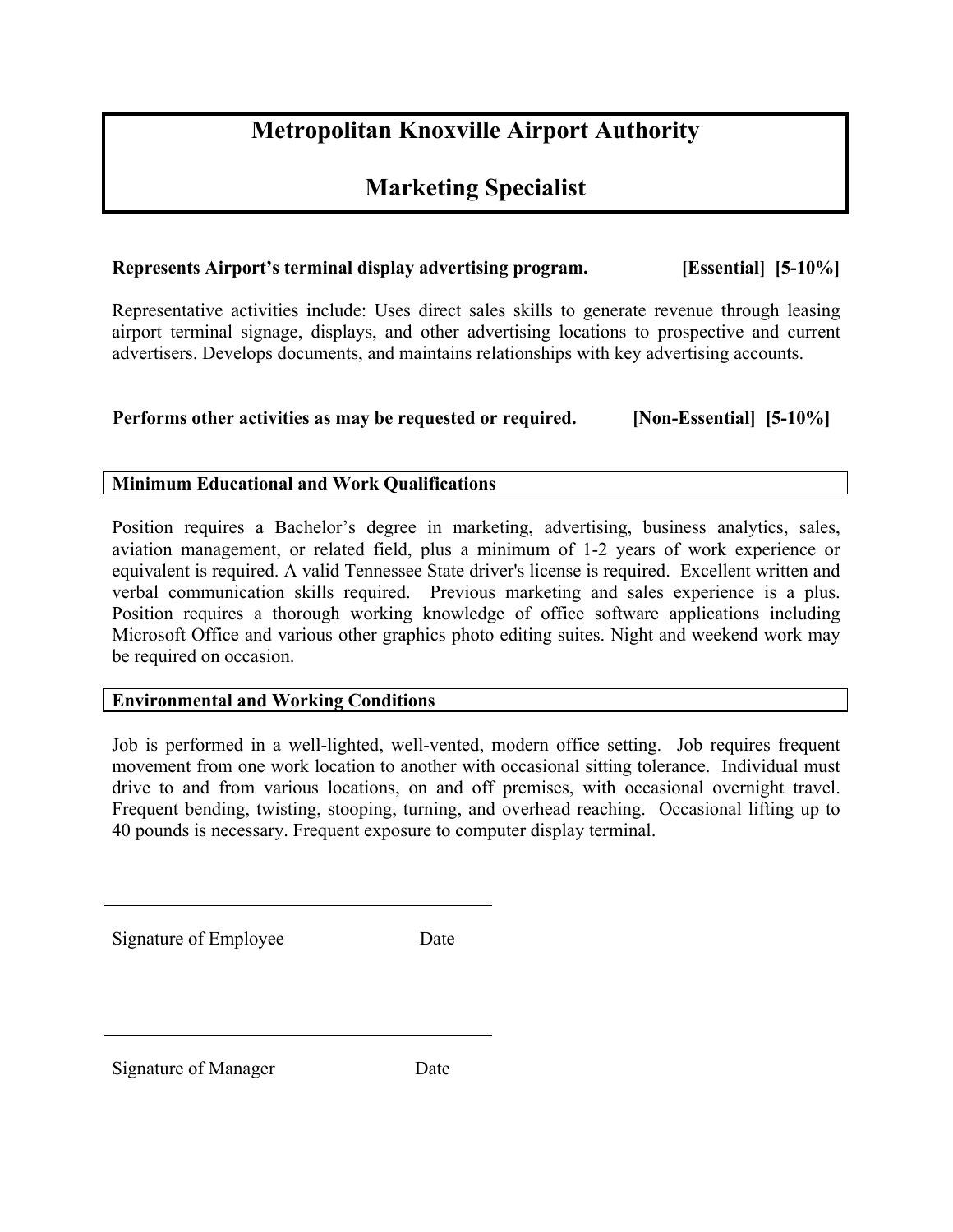# **Metropolitan Knoxville Airport Authority**

## **Marketing Specialist**

## **Represents Airport's terminal display advertising program. [Essential] [5-10%]**

Representative activities include: Uses direct sales skills to generate revenue through leasing airport terminal signage, displays, and other advertising locations to prospective and current advertisers. Develops documents, and maintains relationships with key advertising accounts.

## **Performs other activities as may be requested or required. [Non-Essential] [5-10%]**

## **Minimum Educational and Work Qualifications**

Position requires a Bachelor's degree in marketing, advertising, business analytics, sales, aviation management, or related field, plus a minimum of 1-2 years of work experience or equivalent is required. A valid Tennessee State driver's license is required. Excellent written and verbal communication skills required. Previous marketing and sales experience is a plus. Position requires a thorough working knowledge of office software applications including Microsoft Office and various other graphics photo editing suites. Night and weekend work may be required on occasion.

## **Environmental and Working Conditions**

Job is performed in a well-lighted, well-vented, modern office setting. Job requires frequent movement from one work location to another with occasional sitting tolerance. Individual must drive to and from various locations, on and off premises, with occasional overnight travel. Frequent bending, twisting, stooping, turning, and overhead reaching. Occasional lifting up to 40 pounds is necessary. Frequent exposure to computer display terminal.

Signature of Employee Date

Signature of Manager Date